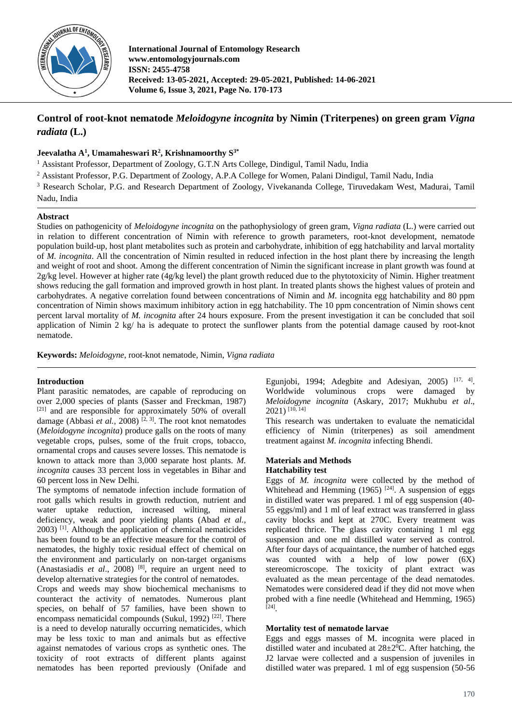

**International Journal of Entomology Research www.entomologyjournals.com ISSN: 2455-4758 Received: 13-05-2021, Accepted: 29-05-2021, Published: 14-06-2021 Volume 6, Issue 3, 2021, Page No. 170-173**

# **Control of root-knot nematode** *Meloidogyne incognita* **by Nimin (Triterpenes) on green gram** *Vigna radiata* **(L.)**

# **Jeevalatha A<sup>1</sup> , Umamaheswari R<sup>2</sup> , Krishnamoorthy S3\***

<sup>1</sup> Assistant Professor, Department of Zoology, G.T.N Arts College, Dindigul, Tamil Nadu, India

<sup>2</sup> Assistant Professor, P.G. Department of Zoology, A.P.A College for Women, Palani Dindigul, Tamil Nadu, India

<sup>3</sup> Research Scholar, P.G. and Research Department of Zoology, Vivekananda College, Tiruvedakam West, Madurai, Tamil Nadu, India

# **Abstract**

Studies on pathogenicity of *Meloidogyne incognita* on the pathophysiology of green gram, *Vigna radiata* (L.) were carried out in relation to different concentration of Nimin with reference to growth parameters, root-knot development, nematode population build-up, host plant metabolites such as protein and carbohydrate, inhibition of egg hatchability and larval mortality of *M. incognita*. All the concentration of Nimin resulted in reduced infection in the host plant there by increasing the length and weight of root and shoot. Among the different concentration of Nimin the significant increase in plant growth was found at 2g/kg level. However at higher rate (4g/kg level) the plant growth reduced due to the phytotoxicity of Nimin. Higher treatment shows reducing the gall formation and improved growth in host plant. In treated plants shows the highest values of protein and carbohydrates. A negative correlation found between concentrations of Nimin and *M.* incognita egg hatchability and 80 ppm concentration of Nimin shows maximum inhibitory action in egg hatchability. The 10 ppm concentration of Nimin shows cent percent larval mortality of *M. incognita* after 24 hours exposure. From the present investigation it can be concluded that soil application of Nimin 2 kg/ ha is adequate to protect the sunflower plants from the potential damage caused by root-knot nematode.

**Keywords:** *Meloidogyne*, root-knot nematode, Nimin, *Vigna radiata*

# **Introduction**

Plant parasitic nematodes, are capable of reproducing on over 2,000 species of plants (Sasser and Freckman, 1987) [21] and are responsible for approximately 50% of overall damage (Abbasi *et al.*, 2008)<sup>[2, 3]</sup>. The root knot nematodes (*Meloidogyne incognita*) produce galls on the roots of many vegetable crops, pulses, some of the fruit crops, tobacco, ornamental crops and causes severe losses. This nematode is known to attack more than 3,000 separate host plants. *M. incognita* causes 33 percent loss in vegetables in Bihar and 60 percent loss in New Delhi.

The symptoms of nematode infection include formation of root galls which results in growth reduction, nutrient and water uptake reduction, increased wilting, mineral deficiency, weak and poor yielding plants (Abad *et al.,* 2003) [1] . Although the application of chemical nematicides has been found to be an effective measure for the control of nematodes, the highly toxic residual effect of chemical on the environment and particularly on non-target organisms (Anastasiadis *et al*., 2008) [8] , require an urgent need to develop alternative strategies for the control of nematodes.

Crops and weeds may show biochemical mechanisms to counteract the activity of nematodes. Numerous plant species, on behalf of 57 families, have been shown to encompass nematicidal compounds (Sukul, 1992)<sup>[22]</sup>. There is a need to develop naturally occurring nematicides, which may be less toxic to man and animals but as effective against nematodes of various crops as synthetic ones. The toxicity of root extracts of different plants against nematodes has been reported previously (Onifade and

Egunjobi, 1994; Adegbite and Adesiyan, 2005) [17, 4]. Worldwide voluminous crops were damaged by *Meloidogyne incognita* (Askary, 2017; Mukhubu *et al*.,  $2021$ )  $[10, 14]$ 

This research was undertaken to evaluate the nematicidal efficiency of Nimin (triterpenes) as soil amendment treatment against *M. incognita* infecting Bhendi.

## **Materials and Methods Hatchability test**

Eggs of *M. incognita* were collected by the method of Whitehead and Hemming  $(1965)$  <sup>[24]</sup>. A suspension of eggs in distilled water was prepared. 1 ml of egg suspension (40- 55 eggs/ml) and 1 ml of leaf extract was transferred in glass cavity blocks and kept at 270C. Every treatment was replicated thrice. The glass cavity containing 1 ml egg suspension and one ml distilled water served as control. After four days of acquaintance, the number of hatched eggs was counted with a help of low power (6X) stereomicroscope. The toxicity of plant extract was evaluated as the mean percentage of the dead nematodes. Nematodes were considered dead if they did not move when probed with a fine needle (Whitehead and Hemming*,* 1965) [24] .

# **Mortality test of nematode larvae**

Eggs and eggs masses of M. incognita were placed in distilled water and incubated at  $28\pm2\degree$ C. After hatching, the J2 larvae were collected and a suspension of juveniles in distilled water was prepared. 1 ml of egg suspension (50-56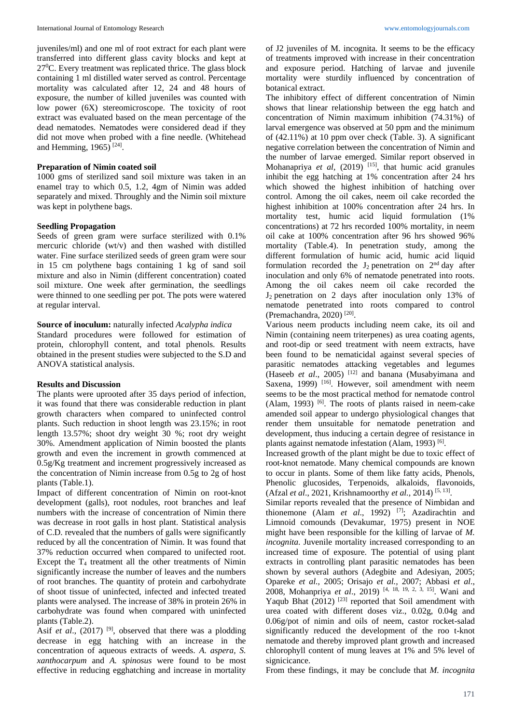juveniles/ml) and one ml of root extract for each plant were transferred into different glass cavity blocks and kept at 27<sup>0</sup>C. Every treatment was replicated thrice. The glass block containing 1 ml distilled water served as control. Percentage mortality was calculated after 12, 24 and 48 hours of exposure, the number of killed juveniles was counted with low power (6X) stereomicroscope. The toxicity of root extract was evaluated based on the mean percentage of the dead nematodes. Nematodes were considered dead if they did not move when probed with a fine needle. (Whitehead and Hemming, 1965)<sup>[24]</sup>.

## **Preparation of Nimin coated soil**

1000 gms of sterilized sand soil mixture was taken in an enamel tray to which 0.5, 1.2, 4gm of Nimin was added separately and mixed. Throughly and the Nimin soil mixture was kept in polythene bags.

## **Seedling Propagation**

Seeds of green gram were surface sterilized with 0.1% mercuric chloride (wt/v) and then washed with distilled water. Fine surface sterilized seeds of green gram were sour in 15 cm polythene bags containing 1 kg of sand soil mixture and also in Nimin (different concentration) coated soil mixture. One week after germination, the seedlings were thinned to one seedling per pot. The pots were watered at regular interval.

### **Source of inoculum:** naturally infected *Acalypha indica*

Standard procedures were followed for estimation of protein, chlorophyll content, and total phenols. Results obtained in the present studies were subjected to the S.D and ANOVA statistical analysis.

### **Results and Discussion**

The plants were uprooted after 35 days period of infection, it was found that there was considerable reduction in plant growth characters when compared to uninfected control plants. Such reduction in shoot length was 23.15%; in root length 13.57%; shoot dry weight 30 %; root dry weight 30%. Amendment application of Nimin boosted the plants growth and even the increment in growth commenced at 0.5g/Kg treatment and increment progressively increased as the concentration of Nimin increase from 0.5g to 2g of host plants (Table.1).

Impact of different concentration of Nimin on root-knot development (galls), root nodules, root branches and leaf numbers with the increase of concentration of Nimin there was decrease in root galls in host plant. Statistical analysis of C.D. revealed that the numbers of galls were significantly reduced by all the concentration of Nimin. It was found that 37% reduction occurred when compared to unifected root. Except the  $T_4$  treatment all the other treatments of Nimin significantly increase the number of leaves and the numbers of root branches. The quantity of protein and carbohydrate of shoot tissue of uninfected, infected and infected treated plants were analysed. The increase of 38% in protein 26% in carbohydrate was found when compared with uninfected plants (Table.2).

Asif *et al.*,  $(2017)$  <sup>[9]</sup>, observed that there was a plodding decrease in egg hatching with an increase in the concentration of aqueous extracts of weeds. *A. aspera, S. xanthocarpum* and *A. spinosus* were found to be most effective in reducing egghatching and increase in mortality

of J2 juveniles of M. incognita. It seems to be the efficacy of treatments improved with increase in their concentration and exposure period. Hatching of larvae and juvenile mortality were sturdily influenced by concentration of botanical extract.

The inhibitory effect of different concentration of Nimin shows that linear relationship between the egg hatch and concentration of Nimin maximum inhibition (74.31%) of larval emergence was observed at 50 ppm and the minimum of (42.11%) at 10 ppm over check (Table. 3). A significant negative correlation between the concentration of Nimin and the number of larvae emerged. Similar report observed in Mohanapriya et al, (2019)<sup>[15]</sup>, that humic acid granules inhibit the egg hatching at 1% concentration after 24 hrs which showed the highest inhibition of hatching over control. Among the oil cakes, neem oil cake recorded the highest inhibition at 100% concentration after 24 hrs. In mortality test, humic acid liquid formulation (1% concentrations) at 72 hrs recorded 100% mortality, in neem oil cake at 100% concentration after 96 hrs showed 96% mortality (Table.4). In penetration study, among the different formulation of humic acid, humic acid liquid formulation recorded the  $J_2$  penetration on  $2<sup>nd</sup>$  day after inoculation and only 6% of nematode penetrated into roots. Among the oil cakes neem oil cake recorded the J<sup>2</sup> penetration on 2 days after inoculation only 13% of nematode penetrated into roots compared to control (Premachandra, 2020) [20] .

Various neem products including neem cake, its oil and Nimin (containing neem triterpenes) as urea coating agents, and root-dip or seed treatment with neem extracts, have been found to be nematicidal against several species of parasitic nematodes attacking vegetables and legumes (Haseeb et al., 2005)<sup>[12]</sup> and banana (Musabyimana and Saxena, 1999)<sup>[16]</sup>. However, soil amendment with neem seems to be the most practical method for nematode control  $($ Alam, 1993 $)$ <sup>[6]</sup>. The roots of plants raised in neem-cake amended soil appear to undergo physiological changes that render them unsuitable for nematode penetration and development, thus inducing a certain degree of resistance in plants against nematode infestation (Alam, 1993)<sup>[6]</sup>.

Increased growth of the plant might be due to toxic effect of root-knot nematode. Many chemical compounds are known to occur in plants. Some of them like fatty acids, Phenols, Phenolic glucosides, Terpenoids, alkaloids, flavonoids, (Afzal *et al*., 2021, Krishnamoorthy *et al.,* 2014) [5, 13] .

Similar reports revealed that the presence of Nimbidan and thionemone (Alam *et al.*, 1992)<sup>[7]</sup>; Azadirachtin and Limnoid comounds (Devakumar*,* 1975) present in NOE might have been responsible for the killing of larvae of *M. incognita*. Juvenile mortality increased corresponding to an increased time of exposure. The potential of using plant extracts in controlling plant parasitic nematodes has been shown by several authors (Adegbite and Adesiyan, 2005; Opareke *et al.,* 2005; Orisajo *et al.,* 2007; Abbasi *et al*., 2008, Mohanpriya *et al*., 2019) [4, 18, 19, 2, 3, 15] . Wani and Yaqub Bhat (2012)<sup>[23]</sup> reported that Soil amendment with urea coated with different doses viz., 0.02g, 0.04g and 0.06g/pot of nimin and oils of neem, castor rocket-salad significantly reduced the development of the roo t-knot nematode and thereby improved plant growth and increased chlorophyll content of mung leaves at 1% and 5% level of signicicance.

From these findings, it may be conclude that *M. incognita*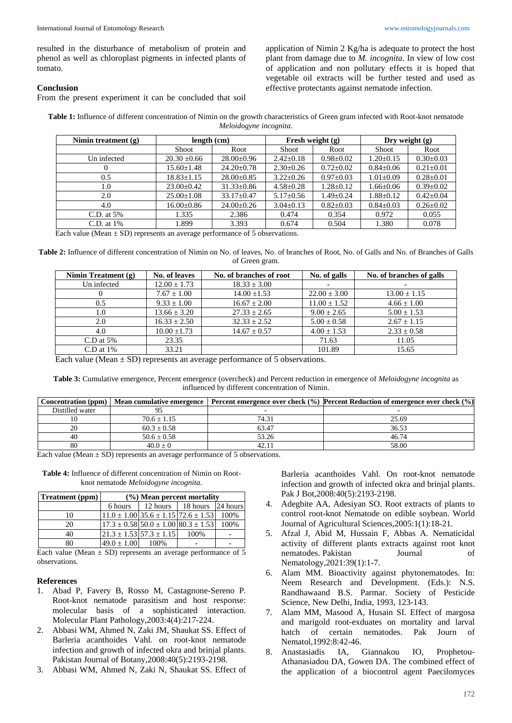resulted in the disturbance of metabolism of protein and phenol as well as chloroplast pigments in infected plants of tomato.

application of Nimin 2 Kg/ha is adequate to protect the host plant from damage due to *M. incognita*. In view of low cost of application and non pollutary effects it is hoped that vegetable oil extracts will be further tested and used as effective protectants against nematode infection.

#### **Conclusion**

From the present experiment it can be concluded that soil

**Table 1:** Influence of different concentration of Nimin on the growth characteristics of Green gram infected with Root-knot nematode *Meloidogyne incognita*.

| Nimin treatment $(g)$                            | length (cm)      |                               | Fresh weight $(g)$ |                 | Dry weight $(g)$ |                 |
|--------------------------------------------------|------------------|-------------------------------|--------------------|-----------------|------------------|-----------------|
|                                                  | Shoot            | Root                          | Shoot              | Root            | <b>Shoot</b>     | Root            |
| Un infected                                      | $20.30 \pm 0.66$ | $28.00 \pm 0.96$              | $2.42 \pm 0.18$    | $0.98 \pm 0.02$ | $1.20 \pm 0.15$  | $0.30 \pm 0.03$ |
|                                                  | $15.60 \pm 1.48$ | $24.20 \pm 0.78$              | $2.30 \pm 0.26$    | $0.72 \pm 0.02$ | $0.84 + 0.06$    | $0.21 \pm 0.01$ |
| 0.5                                              | $18.83 \pm 1.15$ | $28.00+0.85$                  | $3.22+0.26$        | $0.97 \pm 0.03$ | $1.01 \pm 0.09$  | $0.28 \pm 0.01$ |
| 1.0                                              | $23.00+0.42$     | $31.33 \pm 0.86$              | $4.58 \pm 0.28$    | $1.28 \pm 0.12$ | $1.66 \pm 0.06$  | $0.39 \pm 0.02$ |
| 2.0                                              | $25.00+1.08$     | $33.17 + 0.47$                | $5.17 \pm 0.56$    | $1.49 + 0.24$   | $1.88 + 0.12$    | $0.42 + 0.04$   |
| 4.0                                              | $16.00 \pm 0.86$ | $24.00 \pm 0.26$              | $3.04 \pm 0.13$    | $0.82 \pm 0.03$ | $0.84 \pm 0.03$  | $0.26 \pm 0.02$ |
| C.D. at $5\%$                                    | 1.335            | 2.386                         | 0.474              | 0.354           | 0.972            | 0.055           |
| $C.D.$ at $1\%$<br>- - -<br>$\sim$ $\sim$ $\sim$ | 1.899            | 3.393<br>$\sim$ $\sim$ $\sim$ | 0.674              | 0.504           | 1.380            | 0.078           |

Each value (Mean  $\pm$  SD) represents an average performance of 5 observations.

**Table 2:** Influence of different concentration of Nimin on No. of leaves, No. of branches of Root, No. of Galls and No. of Branches of Galls of Green gram.

| Nimin Treatment (g) | No. of leaves    | No. of branches of root | No. of galls     | No. of branches of galls |
|---------------------|------------------|-------------------------|------------------|--------------------------|
| Un infected         | $12.00 \pm 1.73$ | $18.33 \pm 3.00$        |                  |                          |
|                     | $7.67 \pm 1.00$  | $14.00 \pm 1.53$        | $22.00 \pm 3.00$ | $13.00 \pm 1.15$         |
| 0.5                 | $9.33 \pm 1.00$  | $16.67 \pm 2.00$        | $11.00 \pm 1.52$ | $4.66 \pm 1.00$          |
| 1.0                 | $13.66 \pm 3.20$ | $27.33 \pm 2.65$        | $9.00 \pm 2.65$  | $5.00 \pm 1.53$          |
| 2.0                 | $16.33 \pm 2.50$ | $32.33 + 2.52$          | $5.00 \pm 0.58$  | $2.67 \pm 1.15$          |
| 4.0                 | $10.00 + 1.73$   | $14.67 \pm 0.57$        | $4.00 \pm 1.53$  | $2.33 \pm 0.58$          |
| $C.D$ at 5%         | 23.35            |                         | 71.63            | 11.05                    |
| $C.D$ at $1\%$      | 33.21            |                         | 101.89           | 15.65                    |

Each value (Mean  $\pm$  SD) represents an average performance of 5 observations.

**Table 3:** Cumulative emergence, Percent emergence (overcheck) and Percent reduction in emergence of *Meloidogyne incognita* as influenced by different concentration of Nimin.

| <b>Concentration</b> (ppm)                                  | Mean cumulative emergence |                             | <b>Percent emergence over check (%) Percent Reduction of emergence over check (%)</b> |
|-------------------------------------------------------------|---------------------------|-----------------------------|---------------------------------------------------------------------------------------|
| Distilled water                                             |                           |                             |                                                                                       |
|                                                             | $70.6 \pm 1.15$           | 74.31                       | 25.69                                                                                 |
| 20                                                          | $60.3 \pm 0.58$           | 63.47                       | 36.53                                                                                 |
| 40                                                          | $50.6 \pm 0.58$           | 53.26                       | 46.74                                                                                 |
| 80                                                          | $40.0 + 0$                | 42.11                       | 58.00                                                                                 |
| $\mathbf{r}$ $\mathbf{r}$<br>$\sim$ $\sim$ $\sim$<br>$\sim$ |                           | $\sim$ $\sim$ $\sim$ $\sim$ |                                                                                       |

Each value (Mean  $\pm$  SD) represents an average performance of 5 observations.

**Table 4:** Influence of different concentration of Nimin on Rootknot nematode *Meloidogyne incognita*.

| <b>Treatment</b> (ppm) | $(\%)$ Mean percent mortality                   |                      |          |          |  |
|------------------------|-------------------------------------------------|----------------------|----------|----------|--|
|                        | 6 hours                                         | 12 hours $\parallel$ | 18 hours | 24 hours |  |
| 10                     | $11.0 \pm 1.00$ 35.6 $\pm$ 1.15 72.6 $\pm$ 1.53 |                      |          | 100%     |  |
| 20                     | $17.3 \pm 0.58$ 50.0 $\pm$ 1.00 80.3 $\pm$ 1.53 |                      |          | 100%     |  |
| 40                     | $21.3 \pm 1.53$ 57.3 $\pm$ 1.15                 |                      | 100%     |          |  |
| 80                     | $49.0 \pm 1.00$                                 | 100%                 |          |          |  |

Each value (Mean  $\pm$  SD) represents an average performance of 5 observations.

### **References**

- 1. Abad P, Favery B, Rosso M, Castagnone-Sereno P. Root-knot nematode parasitism and host response: molecular basis of a sophisticated interaction. Molecular Plant Pathology,2003:4(4):217-224.
- 2. Abbasi WM, Ahmed N, Zaki JM, Shaukat SS. Effect of Barleria acanthoides Vahl. on root-knot nematode infection and growth of infected okra and brinjal plants. Pakistan Journal of Botany,2008:40(5):2193-2198.
- 3. Abbasi WM, Ahmed N, Zaki N, Shaukat SS. Effect of

Barleria acanthoides Vahl. On root-knot nematode infection and growth of infected okra and brinjal plants. Pak J Bot,2008:40(5):2193-2198.

- 4. Adegbite AA, Adesiyan SO. Root extracts of plants to control root-knot Nematode on edible soybean. World Journal of Agricultural Sciences,2005:1(1):18-21.
- 5. Afzal J, Abid M, Hussain F, Abbas A. Nematicidal activity of different plants extracts against root knot nematodes. Pakistan Journal of Nematology,2021:39(1):1-7.
- 6. Alam MM. Bioactivity against phytonematodes. In: Neem Research and Development. (Eds.): N.S. Randhawaand B.S. Parmar. Society of Pesticide Science, New Delhi, India, 1993, 123-143.
- 7. Alam MM, Masood A, Husain SI. Effect of margosa and marigold root-exduates on mortality and larval hatch of certain nematodes. Pak Journ of Nematol,1992:8:42-46.
- 8. Anastasiadis IA, Giannakou IO, Prophetou-Athanasiadou DA, Gowen DA. The combined effect of the application of a biocontrol agent Paecilomyces